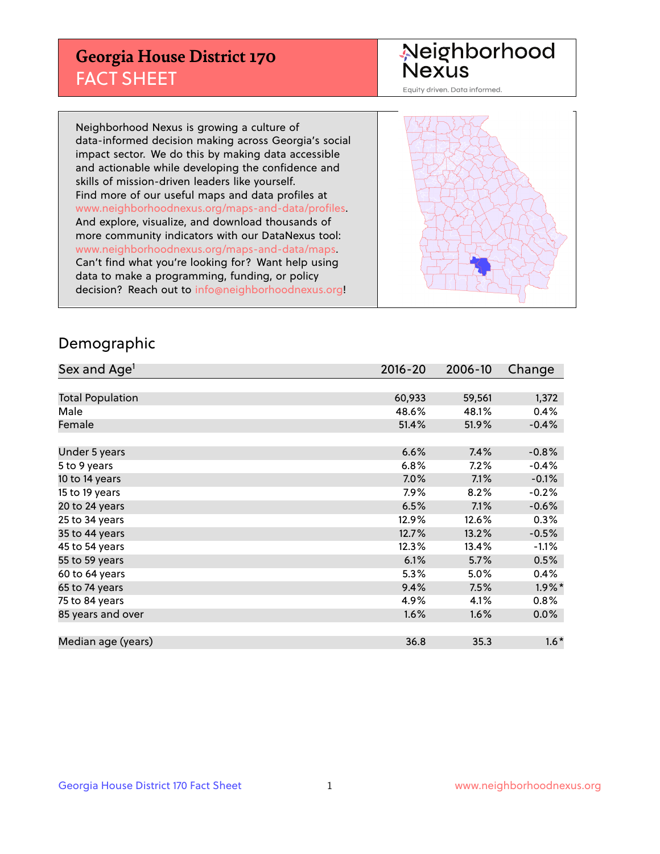## **Georgia House District 170** FACT SHEET

# Neighborhood<br>Nexus

Equity driven. Data informed.

Neighborhood Nexus is growing a culture of data-informed decision making across Georgia's social impact sector. We do this by making data accessible and actionable while developing the confidence and skills of mission-driven leaders like yourself. Find more of our useful maps and data profiles at www.neighborhoodnexus.org/maps-and-data/profiles. And explore, visualize, and download thousands of more community indicators with our DataNexus tool: www.neighborhoodnexus.org/maps-and-data/maps. Can't find what you're looking for? Want help using data to make a programming, funding, or policy decision? Reach out to [info@neighborhoodnexus.org!](mailto:info@neighborhoodnexus.org)



### Demographic

| Sex and Age <sup>1</sup> | 2016-20 | 2006-10 | Change    |
|--------------------------|---------|---------|-----------|
|                          |         |         |           |
| <b>Total Population</b>  | 60,933  | 59,561  | 1,372     |
| Male                     | 48.6%   | 48.1%   | 0.4%      |
| Female                   | 51.4%   | 51.9%   | $-0.4%$   |
|                          |         |         |           |
| Under 5 years            | 6.6%    | 7.4%    | $-0.8%$   |
| 5 to 9 years             | 6.8%    | 7.2%    | $-0.4%$   |
| 10 to 14 years           | $7.0\%$ | 7.1%    | $-0.1%$   |
| 15 to 19 years           | 7.9%    | 8.2%    | $-0.2%$   |
| 20 to 24 years           | 6.5%    | 7.1%    | $-0.6%$   |
| 25 to 34 years           | 12.9%   | 12.6%   | 0.3%      |
| 35 to 44 years           | 12.7%   | 13.2%   | $-0.5%$   |
| 45 to 54 years           | 12.3%   | 13.4%   | $-1.1%$   |
| 55 to 59 years           | 6.1%    | 5.7%    | 0.5%      |
| 60 to 64 years           | 5.3%    | 5.0%    | 0.4%      |
| 65 to 74 years           | 9.4%    | 7.5%    | $1.9\%$ * |
| 75 to 84 years           | 4.9%    | 4.1%    | 0.8%      |
| 85 years and over        | 1.6%    | 1.6%    | 0.0%      |
|                          |         |         |           |
| Median age (years)       | 36.8    | 35.3    | $1.6*$    |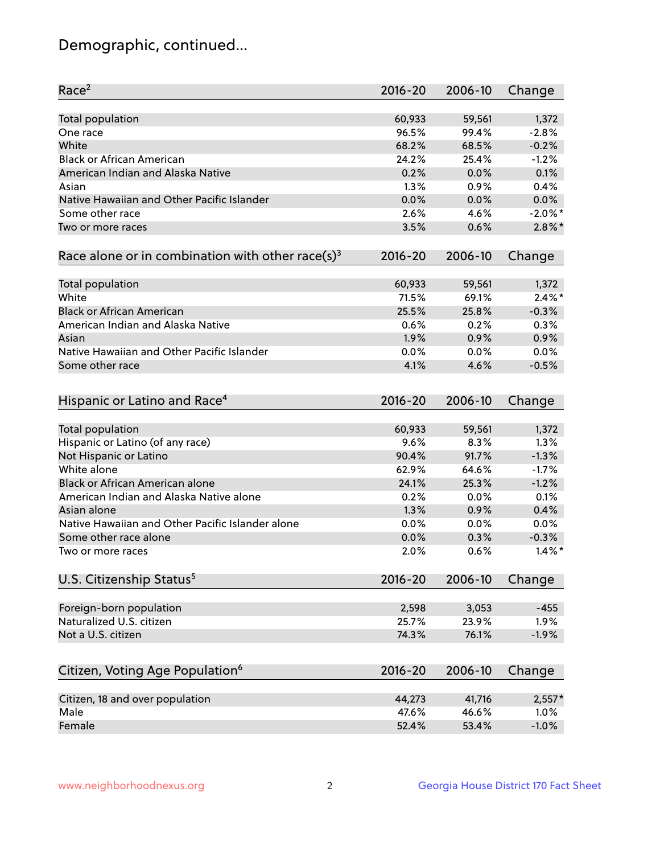## Demographic, continued...

| Race <sup>2</sup>                                            | $2016 - 20$ | 2006-10 | Change     |
|--------------------------------------------------------------|-------------|---------|------------|
| <b>Total population</b>                                      | 60,933      | 59,561  | 1,372      |
| One race                                                     | 96.5%       | 99.4%   | $-2.8%$    |
| White                                                        | 68.2%       | 68.5%   | $-0.2%$    |
| <b>Black or African American</b>                             | 24.2%       | 25.4%   | $-1.2%$    |
| American Indian and Alaska Native                            | 0.2%        | 0.0%    | 0.1%       |
| Asian                                                        | 1.3%        | 0.9%    | 0.4%       |
| Native Hawaiian and Other Pacific Islander                   | 0.0%        | 0.0%    | 0.0%       |
| Some other race                                              | 2.6%        | 4.6%    | $-2.0\%$ * |
| Two or more races                                            | 3.5%        | 0.6%    | $2.8\%$ *  |
| Race alone or in combination with other race(s) <sup>3</sup> | $2016 - 20$ | 2006-10 | Change     |
| <b>Total population</b>                                      | 60,933      | 59,561  | 1,372      |
| White                                                        | 71.5%       | 69.1%   | $2.4\%$ *  |
| <b>Black or African American</b>                             | 25.5%       | 25.8%   | $-0.3%$    |
| American Indian and Alaska Native                            | 0.6%        | 0.2%    | 0.3%       |
| Asian                                                        | 1.9%        | 0.9%    | 0.9%       |
| Native Hawaiian and Other Pacific Islander                   | 0.0%        | 0.0%    | 0.0%       |
| Some other race                                              | 4.1%        | 4.6%    | $-0.5%$    |
|                                                              |             |         |            |
| Hispanic or Latino and Race <sup>4</sup>                     | $2016 - 20$ | 2006-10 | Change     |
| <b>Total population</b>                                      | 60,933      | 59,561  | 1,372      |
| Hispanic or Latino (of any race)                             | 9.6%        | 8.3%    | 1.3%       |
| Not Hispanic or Latino                                       | 90.4%       | 91.7%   | $-1.3%$    |
| White alone                                                  | 62.9%       | 64.6%   | $-1.7%$    |
| <b>Black or African American alone</b>                       | 24.1%       | 25.3%   | $-1.2%$    |
| American Indian and Alaska Native alone                      | 0.2%        | 0.0%    | 0.1%       |
| Asian alone                                                  | 1.3%        | 0.9%    | 0.4%       |
| Native Hawaiian and Other Pacific Islander alone             | 0.0%        | 0.0%    | 0.0%       |
| Some other race alone                                        | 0.0%        | 0.3%    | $-0.3%$    |
| Two or more races                                            | 2.0%        | 0.6%    | $1.4\%$ *  |
| U.S. Citizenship Status <sup>5</sup>                         | $2016 - 20$ | 2006-10 | Change     |
|                                                              |             |         |            |
| Foreign-born population                                      | 2,598       | 3,053   | $-455$     |
| Naturalized U.S. citizen                                     | 25.7%       | 23.9%   | 1.9%       |
| Not a U.S. citizen                                           | 74.3%       | 76.1%   | $-1.9%$    |
|                                                              |             |         |            |
| Citizen, Voting Age Population <sup>6</sup>                  | 2016-20     | 2006-10 | Change     |
| Citizen, 18 and over population                              | 44,273      | 41,716  | $2,557*$   |
| Male                                                         | 47.6%       | 46.6%   | 1.0%       |
| Female                                                       | 52.4%       | 53.4%   | $-1.0%$    |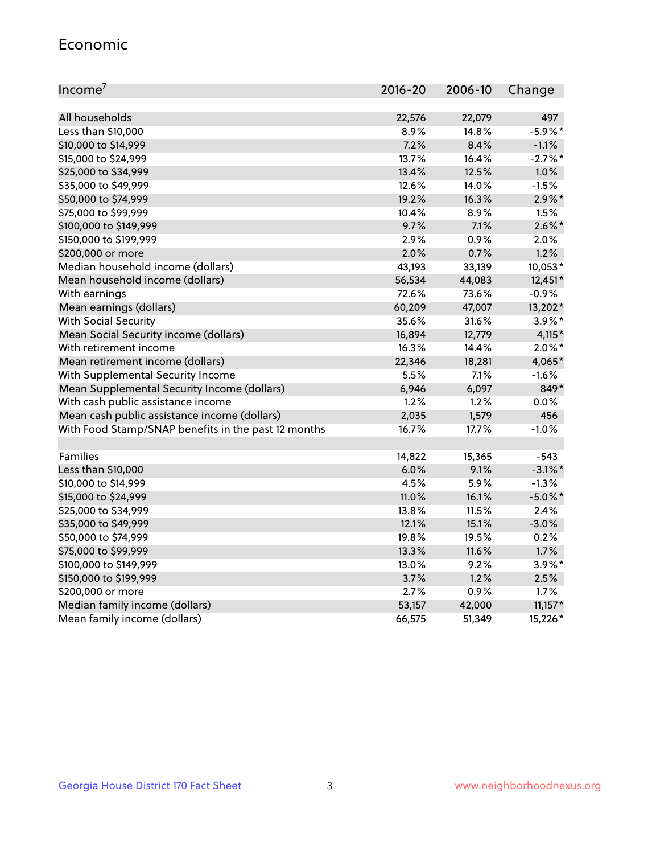#### Economic

| Income <sup>7</sup>                                 | $2016 - 20$ | 2006-10 | Change     |
|-----------------------------------------------------|-------------|---------|------------|
|                                                     |             |         |            |
| All households                                      | 22,576      | 22,079  | 497        |
| Less than \$10,000                                  | 8.9%        | 14.8%   | $-5.9\%$ * |
| \$10,000 to \$14,999                                | 7.2%        | 8.4%    | $-1.1%$    |
| \$15,000 to \$24,999                                | 13.7%       | 16.4%   | $-2.7%$ *  |
| \$25,000 to \$34,999                                | 13.4%       | 12.5%   | 1.0%       |
| \$35,000 to \$49,999                                | 12.6%       | 14.0%   | $-1.5%$    |
| \$50,000 to \$74,999                                | 19.2%       | 16.3%   | $2.9\%$ *  |
| \$75,000 to \$99,999                                | 10.4%       | 8.9%    | 1.5%       |
| \$100,000 to \$149,999                              | 9.7%        | 7.1%    | $2.6\%$ *  |
| \$150,000 to \$199,999                              | 2.9%        | 0.9%    | 2.0%       |
| \$200,000 or more                                   | 2.0%        | 0.7%    | 1.2%       |
| Median household income (dollars)                   | 43,193      | 33,139  | 10,053*    |
| Mean household income (dollars)                     | 56,534      | 44,083  | 12,451*    |
| With earnings                                       | 72.6%       | 73.6%   | $-0.9%$    |
| Mean earnings (dollars)                             | 60,209      | 47,007  | 13,202*    |
| <b>With Social Security</b>                         | 35.6%       | 31.6%   | 3.9%*      |
| Mean Social Security income (dollars)               | 16,894      | 12,779  | $4,115*$   |
| With retirement income                              | 16.3%       | 14.4%   | $2.0\%$ *  |
| Mean retirement income (dollars)                    | 22,346      | 18,281  | 4,065*     |
| With Supplemental Security Income                   | 5.5%        | $7.1\%$ | $-1.6%$    |
| Mean Supplemental Security Income (dollars)         | 6,946       | 6,097   | 849*       |
| With cash public assistance income                  | 1.2%        | 1.2%    | $0.0\%$    |
| Mean cash public assistance income (dollars)        | 2,035       | 1,579   | 456        |
| With Food Stamp/SNAP benefits in the past 12 months | 16.7%       | 17.7%   | $-1.0%$    |
|                                                     |             |         |            |
| Families                                            | 14,822      | 15,365  | $-543$     |
| Less than \$10,000                                  | 6.0%        | 9.1%    | $-3.1\%$ * |
| \$10,000 to \$14,999                                | 4.5%        | 5.9%    | $-1.3%$    |
| \$15,000 to \$24,999                                | 11.0%       | 16.1%   | $-5.0\%$ * |
| \$25,000 to \$34,999                                | 13.8%       | 11.5%   | 2.4%       |
| \$35,000 to \$49,999                                | 12.1%       | 15.1%   | $-3.0%$    |
| \$50,000 to \$74,999                                | 19.8%       | 19.5%   | 0.2%       |
| \$75,000 to \$99,999                                | 13.3%       | 11.6%   | 1.7%       |
| \$100,000 to \$149,999                              | 13.0%       | 9.2%    | $3.9\%$ *  |
| \$150,000 to \$199,999                              | 3.7%        | 1.2%    | 2.5%       |
| \$200,000 or more                                   | 2.7%        | 0.9%    | 1.7%       |
| Median family income (dollars)                      | 53,157      | 42,000  | $11,157*$  |
| Mean family income (dollars)                        | 66,575      | 51,349  | 15,226*    |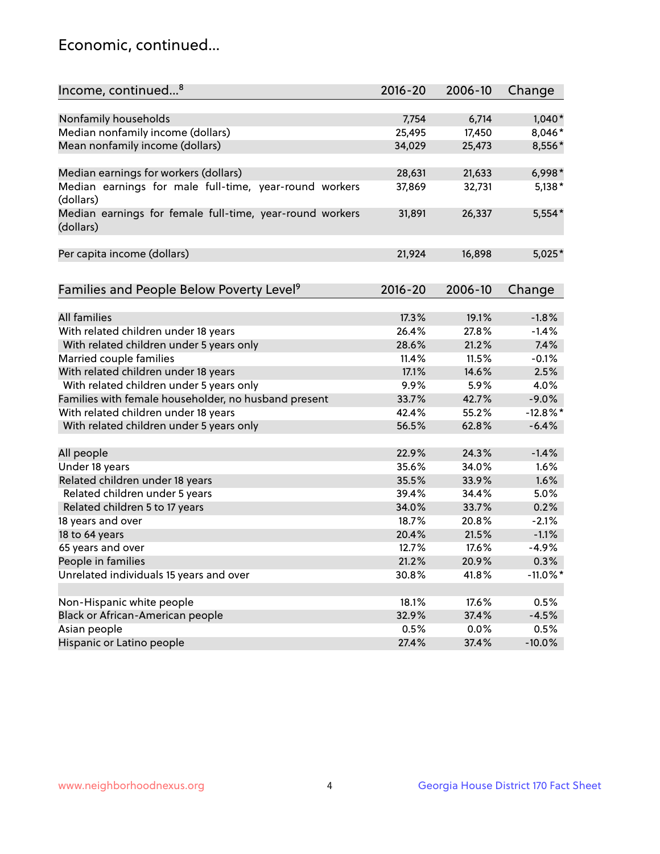## Economic, continued...

| Income, continued <sup>8</sup>                           | $2016 - 20$ | 2006-10 | Change      |
|----------------------------------------------------------|-------------|---------|-------------|
|                                                          |             |         |             |
| Nonfamily households                                     | 7,754       | 6,714   | $1,040*$    |
| Median nonfamily income (dollars)                        | 25,495      | 17,450  | 8,046*      |
| Mean nonfamily income (dollars)                          | 34,029      | 25,473  | 8,556*      |
|                                                          |             |         |             |
| Median earnings for workers (dollars)                    | 28,631      | 21,633  | $6,998*$    |
| Median earnings for male full-time, year-round workers   | 37,869      | 32,731  | $5,138*$    |
| (dollars)                                                |             |         |             |
| Median earnings for female full-time, year-round workers | 31,891      | 26,337  | $5,554*$    |
| (dollars)                                                |             |         |             |
|                                                          |             |         |             |
| Per capita income (dollars)                              | 21,924      | 16,898  | $5,025*$    |
|                                                          |             |         |             |
| Families and People Below Poverty Level <sup>9</sup>     | $2016 - 20$ | 2006-10 | Change      |
|                                                          |             |         |             |
| <b>All families</b>                                      | 17.3%       | 19.1%   | $-1.8%$     |
| With related children under 18 years                     | 26.4%       | 27.8%   | $-1.4%$     |
| With related children under 5 years only                 | 28.6%       | 21.2%   | 7.4%        |
| Married couple families                                  | 11.4%       | 11.5%   | $-0.1%$     |
| With related children under 18 years                     | 17.1%       | 14.6%   | 2.5%        |
| With related children under 5 years only                 | 9.9%        | 5.9%    | 4.0%        |
| Families with female householder, no husband present     | 33.7%       | 42.7%   | $-9.0%$     |
| With related children under 18 years                     | 42.4%       | 55.2%   | $-12.8%$    |
| With related children under 5 years only                 | 56.5%       | 62.8%   | $-6.4%$     |
|                                                          |             |         |             |
| All people                                               | 22.9%       | 24.3%   | $-1.4%$     |
| Under 18 years                                           | 35.6%       | 34.0%   | 1.6%        |
| Related children under 18 years                          | 35.5%       | 33.9%   | 1.6%        |
| Related children under 5 years                           | 39.4%       | 34.4%   | 5.0%        |
| Related children 5 to 17 years                           | 34.0%       | 33.7%   | 0.2%        |
| 18 years and over                                        | 18.7%       | 20.8%   | $-2.1%$     |
| 18 to 64 years                                           | 20.4%       | 21.5%   | $-1.1%$     |
| 65 years and over                                        | 12.7%       | 17.6%   | $-4.9%$     |
| People in families                                       | 21.2%       | 20.9%   | 0.3%        |
| Unrelated individuals 15 years and over                  | 30.8%       | 41.8%   | $-11.0\%$ * |
|                                                          |             |         |             |
| Non-Hispanic white people                                | 18.1%       | 17.6%   | 0.5%        |
| Black or African-American people                         | 32.9%       | 37.4%   | $-4.5%$     |
| Asian people                                             | 0.5%        | 0.0%    | 0.5%        |
| Hispanic or Latino people                                | 27.4%       | 37.4%   | $-10.0%$    |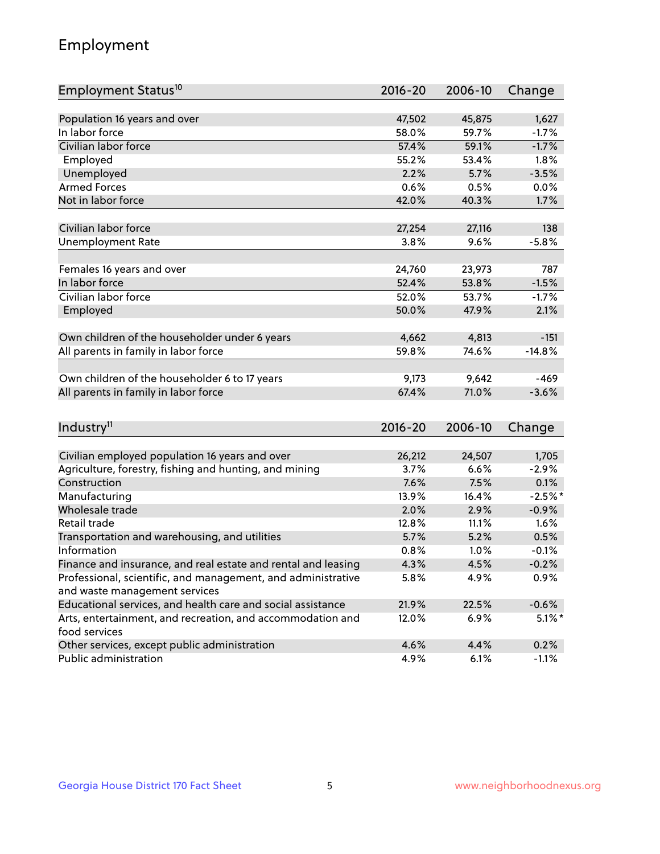## Employment

| Employment Status <sup>10</sup>                                             | $2016 - 20$ | 2006-10 | Change    |
|-----------------------------------------------------------------------------|-------------|---------|-----------|
|                                                                             |             |         |           |
| Population 16 years and over                                                | 47,502      | 45,875  | 1,627     |
| In labor force                                                              | 58.0%       | 59.7%   | $-1.7%$   |
| Civilian labor force                                                        | 57.4%       | 59.1%   | $-1.7%$   |
| Employed                                                                    | 55.2%       | 53.4%   | 1.8%      |
| Unemployed                                                                  | 2.2%        | 5.7%    | $-3.5%$   |
| <b>Armed Forces</b>                                                         | 0.6%        | 0.5%    | 0.0%      |
| Not in labor force                                                          | 42.0%       | 40.3%   | 1.7%      |
|                                                                             |             |         |           |
| Civilian labor force                                                        | 27,254      | 27,116  | 138       |
| <b>Unemployment Rate</b>                                                    | 3.8%        | 9.6%    | $-5.8%$   |
| Females 16 years and over                                                   | 24,760      | 23,973  | 787       |
| In labor force                                                              | 52.4%       | 53.8%   | $-1.5%$   |
| Civilian labor force                                                        | 52.0%       | 53.7%   | $-1.7%$   |
| Employed                                                                    | 50.0%       | 47.9%   | 2.1%      |
|                                                                             |             |         |           |
| Own children of the householder under 6 years                               | 4,662       | 4,813   | $-151$    |
| All parents in family in labor force                                        | 59.8%       | 74.6%   | $-14.8%$  |
|                                                                             |             |         |           |
| Own children of the householder 6 to 17 years                               | 9,173       | 9,642   | $-469$    |
| All parents in family in labor force                                        | 67.4%       | 71.0%   | $-3.6%$   |
|                                                                             |             |         |           |
| Industry <sup>11</sup>                                                      | $2016 - 20$ | 2006-10 | Change    |
|                                                                             |             |         |           |
| Civilian employed population 16 years and over                              | 26,212      | 24,507  | 1,705     |
| Agriculture, forestry, fishing and hunting, and mining                      | 3.7%        | 6.6%    | $-2.9%$   |
| Construction                                                                | 7.6%        | 7.5%    | 0.1%      |
| Manufacturing                                                               | 13.9%       | 16.4%   | $-2.5%$ * |
| Wholesale trade                                                             | 2.0%        | 2.9%    | $-0.9%$   |
| Retail trade                                                                | 12.8%       | 11.1%   | 1.6%      |
| Transportation and warehousing, and utilities                               | 5.7%        | 5.2%    | 0.5%      |
| Information                                                                 | 0.8%        | 1.0%    | $-0.1%$   |
| Finance and insurance, and real estate and rental and leasing               | 4.3%        | 4.5%    | $-0.2%$   |
| Professional, scientific, and management, and administrative                | 5.8%        | 4.9%    | 0.9%      |
| and waste management services                                               |             |         |           |
| Educational services, and health care and social assistance                 | 21.9%       | 22.5%   | $-0.6%$   |
| Arts, entertainment, and recreation, and accommodation and<br>food services | 12.0%       | 6.9%    | $5.1\%$ * |
| Other services, except public administration                                | 4.6%        | 4.4%    | 0.2%      |
| Public administration                                                       | 4.9%        | 6.1%    | $-1.1%$   |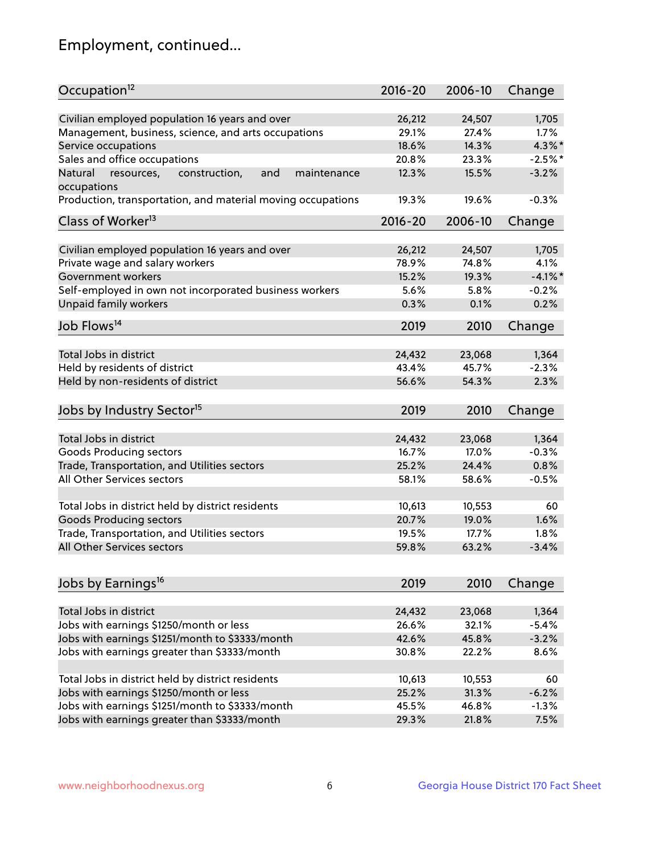## Employment, continued...

| Occupation <sup>12</sup>                                                    | $2016 - 20$     | 2006-10         | Change           |
|-----------------------------------------------------------------------------|-----------------|-----------------|------------------|
| Civilian employed population 16 years and over                              | 26,212          |                 |                  |
|                                                                             | 29.1%           | 24,507<br>27.4% | 1,705<br>$1.7\%$ |
| Management, business, science, and arts occupations                         | 18.6%           | 14.3%           | $4.3\%$ *        |
| Service occupations                                                         |                 |                 |                  |
| Sales and office occupations                                                | 20.8%           | 23.3%           | $-2.5%$ *        |
| Natural<br>and<br>resources,<br>construction,<br>maintenance<br>occupations | 12.3%           | 15.5%           | $-3.2%$          |
| Production, transportation, and material moving occupations                 | 19.3%           | 19.6%           | $-0.3%$          |
| Class of Worker <sup>13</sup>                                               | $2016 - 20$     | 2006-10         | Change           |
|                                                                             |                 |                 |                  |
| Civilian employed population 16 years and over                              | 26,212          | 24,507          | 1,705            |
| Private wage and salary workers                                             | 78.9%           | 74.8%           | 4.1%             |
| Government workers                                                          | 15.2%           | 19.3%           | $-4.1\%$ *       |
| Self-employed in own not incorporated business workers                      | 5.6%            | 5.8%            | $-0.2%$          |
| Unpaid family workers                                                       | 0.3%            | 0.1%            | 0.2%             |
| Job Flows <sup>14</sup>                                                     | 2019            | 2010            | Change           |
|                                                                             |                 |                 |                  |
| Total Jobs in district                                                      | 24,432          | 23,068          | 1,364            |
| Held by residents of district                                               | 43.4%           | 45.7%           | $-2.3%$          |
| Held by non-residents of district                                           | 56.6%           | 54.3%           | 2.3%             |
| Jobs by Industry Sector <sup>15</sup>                                       | 2019            | 2010            | Change           |
|                                                                             |                 |                 |                  |
| Total Jobs in district                                                      | 24,432          | 23,068          | 1,364            |
| Goods Producing sectors                                                     | 16.7%           | 17.0%           | $-0.3%$          |
| Trade, Transportation, and Utilities sectors                                | 25.2%           | 24.4%           | 0.8%             |
| All Other Services sectors                                                  | 58.1%           | 58.6%           | $-0.5%$          |
|                                                                             |                 |                 |                  |
| Total Jobs in district held by district residents                           | 10,613          | 10,553          | 60               |
| <b>Goods Producing sectors</b>                                              | 20.7%           | 19.0%           | 1.6%             |
| Trade, Transportation, and Utilities sectors                                | 19.5%           | 17.7%           | 1.8%             |
| All Other Services sectors                                                  | 59.8%           | 63.2%           | $-3.4%$          |
|                                                                             |                 |                 |                  |
| Jobs by Earnings <sup>16</sup>                                              | 2019            | 2010            | Change           |
|                                                                             |                 |                 |                  |
| Total Jobs in district                                                      | 24,432          | 23,068          | 1,364            |
| Jobs with earnings \$1250/month or less                                     | 26.6%           | 32.1%           | $-5.4%$          |
| Jobs with earnings \$1251/month to \$3333/month                             | 42.6%           | 45.8%           | $-3.2%$          |
| Jobs with earnings greater than \$3333/month                                | 30.8%           | 22.2%           | 8.6%             |
|                                                                             |                 |                 | 60               |
| Total Jobs in district held by district residents                           | 10,613<br>25.2% | 10,553          | $-6.2%$          |
| Jobs with earnings \$1250/month or less                                     |                 | 31.3%           |                  |
| Jobs with earnings \$1251/month to \$3333/month                             | 45.5%           | 46.8%           | $-1.3%$          |
| Jobs with earnings greater than \$3333/month                                | 29.3%           | 21.8%           | 7.5%             |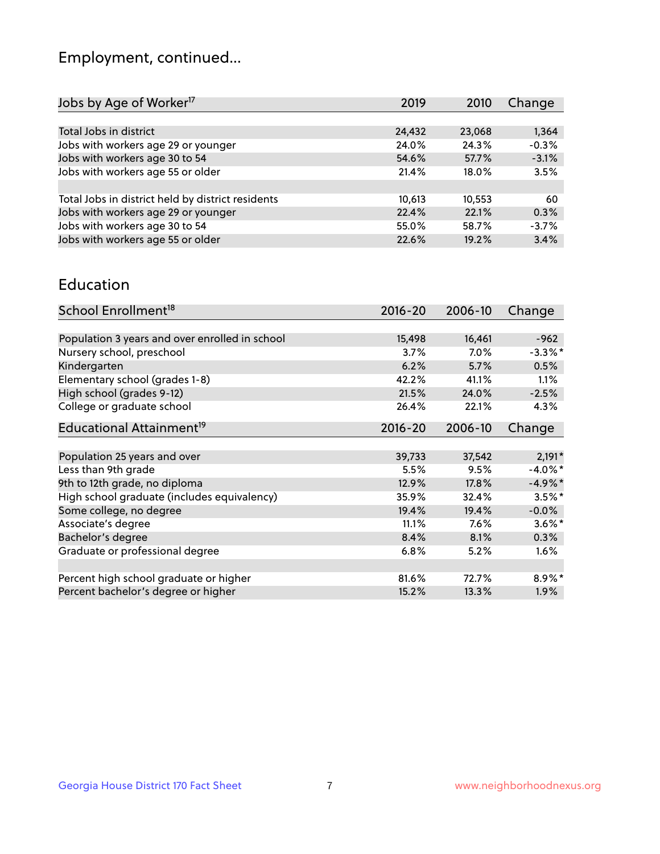## Employment, continued...

| 2019   | 2010   | Change  |
|--------|--------|---------|
|        |        |         |
| 24,432 | 23,068 | 1,364   |
| 24.0%  | 24.3%  | $-0.3%$ |
| 54.6%  | 57.7%  | $-3.1%$ |
| 21.4%  | 18.0%  | 3.5%    |
|        |        |         |
| 10,613 | 10,553 | -60     |
| 22.4%  | 22.1%  | 0.3%    |
| 55.0%  | 58.7%  | $-3.7%$ |
| 22.6%  | 19.2%  | 3.4%    |
|        |        |         |

#### Education

| School Enrollment <sup>18</sup>                | $2016 - 20$ | 2006-10 | Change     |
|------------------------------------------------|-------------|---------|------------|
|                                                |             |         |            |
| Population 3 years and over enrolled in school | 15,498      | 16,461  | $-962$     |
| Nursery school, preschool                      | 3.7%        | $7.0\%$ | $-3.3\%$ * |
| Kindergarten                                   | 6.2%        | 5.7%    | 0.5%       |
| Elementary school (grades 1-8)                 | 42.2%       | 41.1%   | 1.1%       |
| High school (grades 9-12)                      | 21.5%       | 24.0%   | $-2.5%$    |
| College or graduate school                     | 26.4%       | 22.1%   | 4.3%       |
| Educational Attainment <sup>19</sup>           | $2016 - 20$ | 2006-10 | Change     |
|                                                |             |         |            |
| Population 25 years and over                   | 39,733      | 37,542  | $2,191*$   |
| Less than 9th grade                            | 5.5%        | 9.5%    | $-4.0\%$ * |
| 9th to 12th grade, no diploma                  | 12.9%       | 17.8%   | $-4.9%$ *  |
| High school graduate (includes equivalency)    | 35.9%       | 32.4%   | $3.5\%$ *  |
| Some college, no degree                        | 19.4%       | 19.4%   | $-0.0%$    |
| Associate's degree                             | 11.1%       | 7.6%    | $3.6\%$ *  |
| Bachelor's degree                              | 8.4%        | 8.1%    | 0.3%       |
| Graduate or professional degree                | 6.8%        | 5.2%    | $1.6\%$    |
|                                                |             |         |            |
| Percent high school graduate or higher         | 81.6%       | 72.7%   | 8.9%*      |
| Percent bachelor's degree or higher            | 15.2%       | 13.3%   | $1.9\%$    |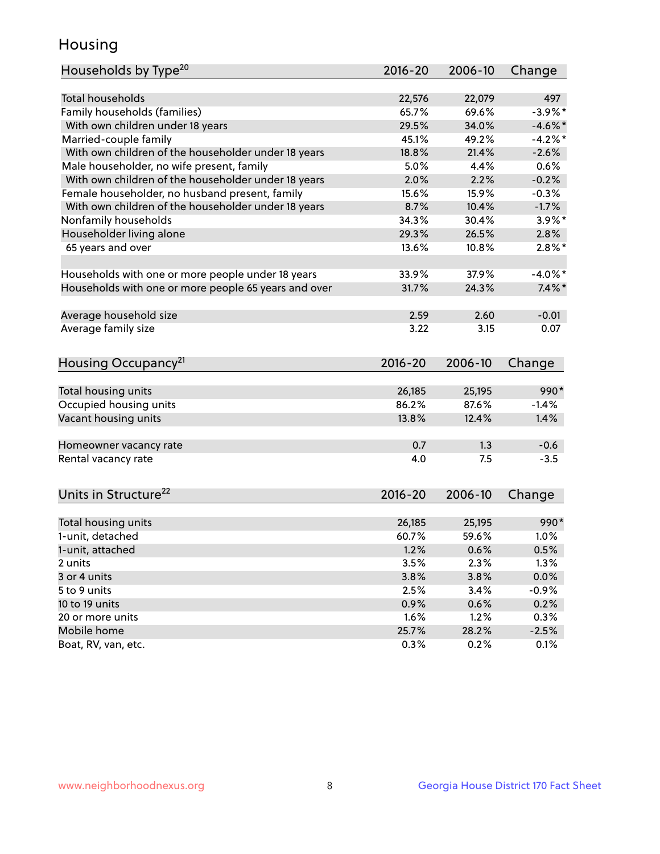## Housing

| Households by Type <sup>20</sup>                     | 2016-20 | 2006-10 | Change     |
|------------------------------------------------------|---------|---------|------------|
|                                                      |         |         |            |
| Total households                                     | 22,576  | 22,079  | 497        |
| Family households (families)                         | 65.7%   | 69.6%   | $-3.9%$ *  |
| With own children under 18 years                     | 29.5%   | 34.0%   | $-4.6\%$ * |
| Married-couple family                                | 45.1%   | 49.2%   | $-4.2%$    |
| With own children of the householder under 18 years  | 18.8%   | 21.4%   | $-2.6%$    |
| Male householder, no wife present, family            | 5.0%    | 4.4%    | 0.6%       |
| With own children of the householder under 18 years  | 2.0%    | 2.2%    | $-0.2%$    |
| Female householder, no husband present, family       | 15.6%   | 15.9%   | $-0.3%$    |
| With own children of the householder under 18 years  | 8.7%    | 10.4%   | $-1.7%$    |
| Nonfamily households                                 | 34.3%   | 30.4%   | $3.9\%$ *  |
| Householder living alone                             | 29.3%   | 26.5%   | 2.8%       |
| 65 years and over                                    | 13.6%   | 10.8%   | $2.8\%$ *  |
|                                                      |         |         |            |
| Households with one or more people under 18 years    | 33.9%   | 37.9%   | $-4.0\%$ * |
| Households with one or more people 65 years and over | 31.7%   | 24.3%   | $7.4\%$ *  |
|                                                      |         |         |            |
| Average household size                               | 2.59    | 2.60    | $-0.01$    |
| Average family size                                  | 3.22    | 3.15    | 0.07       |
| Housing Occupancy <sup>21</sup>                      | 2016-20 | 2006-10 | Change     |
|                                                      |         |         |            |
| Total housing units                                  | 26,185  | 25,195  | 990*       |
| Occupied housing units                               | 86.2%   | 87.6%   | $-1.4%$    |
| Vacant housing units                                 | 13.8%   | 12.4%   | 1.4%       |
|                                                      |         |         |            |
| Homeowner vacancy rate                               | 0.7     | 1.3     | $-0.6$     |
| Rental vacancy rate                                  | 4.0     | 7.5     | $-3.5$     |
|                                                      |         |         |            |
| Units in Structure <sup>22</sup>                     | 2016-20 | 2006-10 | Change     |
|                                                      |         |         |            |
| Total housing units                                  | 26,185  | 25,195  | $990*$     |
| 1-unit, detached                                     | 60.7%   | 59.6%   | $1.0\%$    |
| 1-unit, attached                                     | 1.2%    | 0.6%    | 0.5%       |
| 2 units                                              | 3.5%    | 2.3%    | 1.3%       |
| 3 or 4 units                                         | 3.8%    | 3.8%    | 0.0%       |
| 5 to 9 units                                         | 2.5%    | 3.4%    | $-0.9%$    |
| 10 to 19 units                                       | 0.9%    | 0.6%    | 0.2%       |
| 20 or more units                                     | 1.6%    | 1.2%    | 0.3%       |
| Mobile home                                          | 25.7%   | 28.2%   | $-2.5%$    |
| Boat, RV, van, etc.                                  | 0.3%    | 0.2%    | 0.1%       |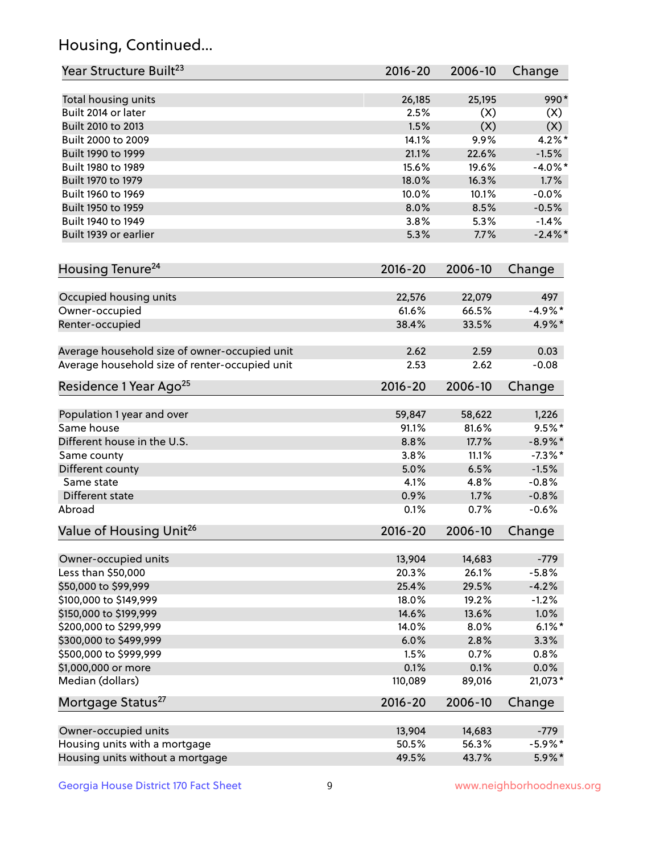## Housing, Continued...

| Year Structure Built <sup>23</sup>             | 2016-20     | 2006-10 | Change     |
|------------------------------------------------|-------------|---------|------------|
| Total housing units                            | 26,185      | 25,195  | 990*       |
| Built 2014 or later                            | 2.5%        | (X)     | (X)        |
| Built 2010 to 2013                             | 1.5%        | (X)     | (X)        |
| Built 2000 to 2009                             | 14.1%       | 9.9%    | $4.2\%$ *  |
| Built 1990 to 1999                             | 21.1%       | 22.6%   | $-1.5%$    |
| Built 1980 to 1989                             | 15.6%       | 19.6%   | $-4.0\%$ * |
| Built 1970 to 1979                             | 18.0%       | 16.3%   | 1.7%       |
| Built 1960 to 1969                             | 10.0%       | 10.1%   | $-0.0%$    |
| Built 1950 to 1959                             | 8.0%        | 8.5%    | $-0.5%$    |
| Built 1940 to 1949                             | 3.8%        | 5.3%    | $-1.4%$    |
| Built 1939 or earlier                          | 5.3%        | 7.7%    | $-2.4\%$ * |
| Housing Tenure <sup>24</sup>                   | $2016 - 20$ | 2006-10 | Change     |
|                                                |             |         |            |
| Occupied housing units                         | 22,576      | 22,079  | 497        |
| Owner-occupied                                 | 61.6%       | 66.5%   | $-4.9%$ *  |
| Renter-occupied                                | 38.4%       | 33.5%   | 4.9%*      |
| Average household size of owner-occupied unit  | 2.62        | 2.59    | 0.03       |
| Average household size of renter-occupied unit | 2.53        | 2.62    | $-0.08$    |
| Residence 1 Year Ago <sup>25</sup>             | $2016 - 20$ | 2006-10 | Change     |
| Population 1 year and over                     | 59,847      | 58,622  | 1,226      |
| Same house                                     | 91.1%       | 81.6%   | $9.5%$ *   |
| Different house in the U.S.                    | 8.8%        | 17.7%   | $-8.9\%*$  |
| Same county                                    | 3.8%        | 11.1%   | $-7.3\%$ * |
| Different county                               | 5.0%        | 6.5%    | $-1.5%$    |
| Same state                                     | 4.1%        | 4.8%    | $-0.8%$    |
| Different state                                | 0.9%        | 1.7%    | $-0.8%$    |
| Abroad                                         | 0.1%        | 0.7%    | $-0.6%$    |
| Value of Housing Unit <sup>26</sup>            | $2016 - 20$ | 2006-10 | Change     |
|                                                |             |         |            |
| Owner-occupied units                           | 13,904      | 14,683  | $-779$     |
| Less than \$50,000                             | 20.3%       | 26.1%   | $-5.8%$    |
| \$50,000 to \$99,999                           | 25.4%       | 29.5%   | $-4.2%$    |
| \$100,000 to \$149,999                         | 18.0%       | 19.2%   | $-1.2%$    |
| \$150,000 to \$199,999                         | 14.6%       | 13.6%   | 1.0%       |
| \$200,000 to \$299,999                         | 14.0%       | 8.0%    | $6.1\%$ *  |
| \$300,000 to \$499,999                         | 6.0%        | 2.8%    | 3.3%       |
| \$500,000 to \$999,999                         | 1.5%        | 0.7%    | 0.8%       |
| \$1,000,000 or more                            | 0.1%        | 0.1%    | 0.0%       |
| Median (dollars)                               | 110,089     | 89,016  | 21,073*    |
| Mortgage Status <sup>27</sup>                  | $2016 - 20$ | 2006-10 | Change     |
| Owner-occupied units                           | 13,904      | 14,683  | $-779$     |
| Housing units with a mortgage                  | 50.5%       | 56.3%   | $-5.9\%$ * |
| Housing units without a mortgage               | 49.5%       | 43.7%   | 5.9%*      |
|                                                |             |         |            |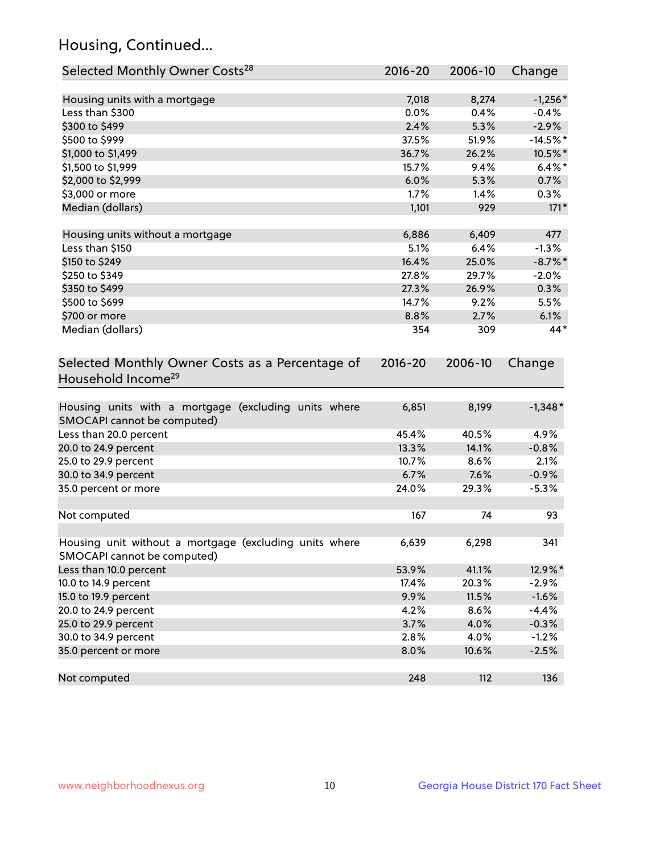## Housing, Continued...

| Selected Monthly Owner Costs <sup>28</sup>                                            | 2016-20     | 2006-10 | Change     |
|---------------------------------------------------------------------------------------|-------------|---------|------------|
| Housing units with a mortgage                                                         | 7,018       | 8,274   | $-1,256*$  |
| Less than \$300                                                                       | 0.0%        | 0.4%    | $-0.4%$    |
| \$300 to \$499                                                                        | 2.4%        | 5.3%    | $-2.9%$    |
| \$500 to \$999                                                                        | 37.5%       | 51.9%   | $-14.5%$ * |
| \$1,000 to \$1,499                                                                    | 36.7%       | 26.2%   | 10.5%*     |
| \$1,500 to \$1,999                                                                    | 15.7%       | 9.4%    | $6.4\%$ *  |
| \$2,000 to \$2,999                                                                    | 6.0%        | 5.3%    | 0.7%       |
| \$3,000 or more                                                                       | 1.7%        | 1.4%    | 0.3%       |
| Median (dollars)                                                                      | 1,101       | 929     | $171*$     |
| Housing units without a mortgage                                                      | 6,886       | 6,409   | 477        |
| Less than \$150                                                                       | 5.1%        | 6.4%    | $-1.3%$    |
| \$150 to \$249                                                                        | 16.4%       | 25.0%   | $-8.7\%$ * |
| \$250 to \$349                                                                        | 27.8%       | 29.7%   | $-2.0%$    |
| \$350 to \$499                                                                        | 27.3%       | 26.9%   | 0.3%       |
| \$500 to \$699                                                                        | 14.7%       | 9.2%    | 5.5%       |
| \$700 or more                                                                         | 8.8%        | 2.7%    | 6.1%       |
| Median (dollars)                                                                      | 354         | 309     | 44*        |
| Selected Monthly Owner Costs as a Percentage of<br>Household Income <sup>29</sup>     | $2016 - 20$ | 2006-10 | Change     |
| Housing units with a mortgage (excluding units where<br>SMOCAPI cannot be computed)   | 6,851       | 8,199   | $-1,348*$  |
| Less than 20.0 percent                                                                | 45.4%       | 40.5%   | 4.9%       |
| 20.0 to 24.9 percent                                                                  | 13.3%       | 14.1%   | $-0.8%$    |
| 25.0 to 29.9 percent                                                                  | 10.7%       | 8.6%    | 2.1%       |
| 30.0 to 34.9 percent                                                                  | 6.7%        | 7.6%    | $-0.9%$    |
| 35.0 percent or more                                                                  | 24.0%       | 29.3%   | $-5.3%$    |
| Not computed                                                                          | 167         | 74      | 93         |
| Housing unit without a mortgage (excluding units where<br>SMOCAPI cannot be computed) | 6,639       | 6,298   | 341        |
| Less than 10.0 percent                                                                | 53.9%       | 41.1%   | 12.9%*     |
| 10.0 to 14.9 percent                                                                  | 17.4%       | 20.3%   | $-2.9%$    |
| 15.0 to 19.9 percent                                                                  | 9.9%        | 11.5%   | $-1.6%$    |
| 20.0 to 24.9 percent                                                                  | 4.2%        | 8.6%    | $-4.4%$    |
| 25.0 to 29.9 percent                                                                  | 3.7%        | 4.0%    | $-0.3%$    |
| 30.0 to 34.9 percent                                                                  | 2.8%        | 4.0%    | $-1.2%$    |
| 35.0 percent or more                                                                  | 8.0%        | 10.6%   | $-2.5%$    |
| Not computed                                                                          | 248         | 112     | 136        |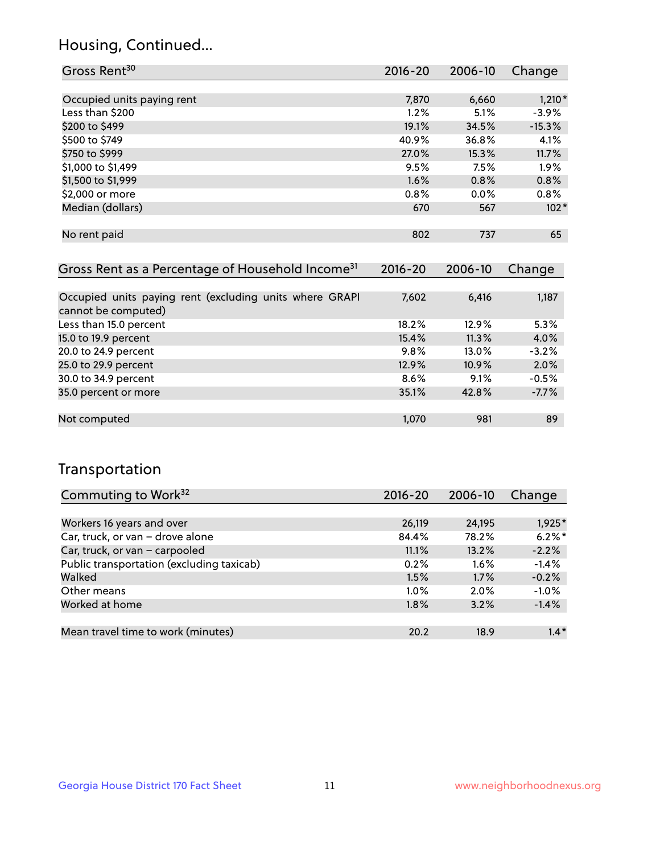## Housing, Continued...

| Gross Rent <sup>30</sup>   | 2016-20 | 2006-10 | Change   |
|----------------------------|---------|---------|----------|
|                            |         |         |          |
| Occupied units paying rent | 7,870   | 6,660   | $1,210*$ |
| Less than \$200            | 1.2%    | 5.1%    | $-3.9%$  |
| \$200 to \$499             | 19.1%   | 34.5%   | $-15.3%$ |
| \$500 to \$749             | 40.9%   | 36.8%   | 4.1%     |
| \$750 to \$999             | 27.0%   | 15.3%   | 11.7%    |
| \$1,000 to \$1,499         | 9.5%    | 7.5%    | 1.9%     |
| \$1,500 to \$1,999         | 1.6%    | 0.8%    | 0.8%     |
| \$2,000 or more            | 0.8%    | $0.0\%$ | 0.8%     |
| Median (dollars)           | 670     | 567     | $102*$   |
|                            |         |         |          |
| No rent paid               | 802     | 737     | 65       |

| Gross Rent as a Percentage of Household Income <sup>31</sup>                   | $2016 - 20$ | 2006-10 | Change  |
|--------------------------------------------------------------------------------|-------------|---------|---------|
|                                                                                |             |         |         |
| Occupied units paying rent (excluding units where GRAPI<br>cannot be computed) | 7,602       | 6,416   | 1,187   |
| Less than 15.0 percent                                                         | 18.2%       | 12.9%   | 5.3%    |
| 15.0 to 19.9 percent                                                           | 15.4%       | 11.3%   | 4.0%    |
| 20.0 to 24.9 percent                                                           | 9.8%        | 13.0%   | $-3.2%$ |
| 25.0 to 29.9 percent                                                           | 12.9%       | 10.9%   | 2.0%    |
| 30.0 to 34.9 percent                                                           | 8.6%        | 9.1%    | $-0.5%$ |
| 35.0 percent or more                                                           | 35.1%       | 42.8%   | $-7.7%$ |
|                                                                                |             |         |         |
| Not computed                                                                   | 1,070       | 981     | 89      |

## Transportation

| Commuting to Work <sup>32</sup>           | 2016-20 | 2006-10 | Change    |
|-------------------------------------------|---------|---------|-----------|
|                                           |         |         |           |
| Workers 16 years and over                 | 26,119  | 24,195  | 1,925*    |
| Car, truck, or van - drove alone          | 84.4%   | 78.2%   | $6.2\%$ * |
| Car, truck, or van - carpooled            | 11.1%   | 13.2%   | $-2.2%$   |
| Public transportation (excluding taxicab) | 0.2%    | $1.6\%$ | $-1.4%$   |
| Walked                                    | 1.5%    | 1.7%    | $-0.2%$   |
| Other means                               | $1.0\%$ | 2.0%    | $-1.0%$   |
| Worked at home                            | 1.8%    | 3.2%    | $-1.4%$   |
|                                           |         |         |           |
| Mean travel time to work (minutes)        | 20.2    | 18.9    | $1.4*$    |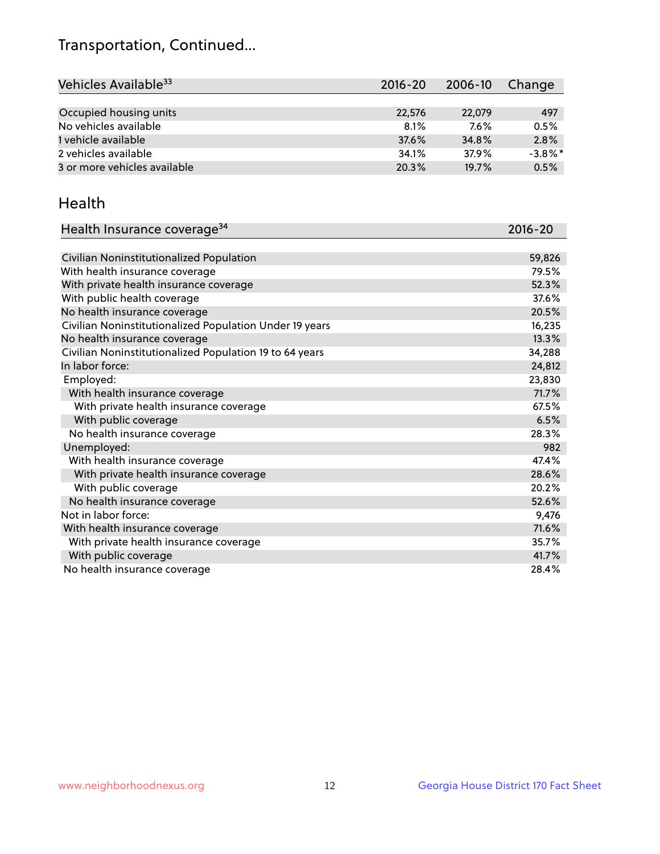## Transportation, Continued...

| Vehicles Available <sup>33</sup> | $2016 - 20$ | 2006-10 | Change     |
|----------------------------------|-------------|---------|------------|
|                                  |             |         |            |
| Occupied housing units           | 22,576      | 22,079  | 497        |
| No vehicles available            | 8.1%        | $7.6\%$ | 0.5%       |
| 1 vehicle available              | 37.6%       | 34.8%   | 2.8%       |
| 2 vehicles available             | 34.1%       | 37.9%   | $-3.8\%$ * |
| 3 or more vehicles available     | 20.3%       | 19.7%   | 0.5%       |

#### Health

| Health Insurance coverage <sup>34</sup>                 | 2016-20 |
|---------------------------------------------------------|---------|
|                                                         |         |
| Civilian Noninstitutionalized Population                | 59,826  |
| With health insurance coverage                          | 79.5%   |
| With private health insurance coverage                  | 52.3%   |
| With public health coverage                             | 37.6%   |
| No health insurance coverage                            | 20.5%   |
| Civilian Noninstitutionalized Population Under 19 years | 16,235  |
| No health insurance coverage                            | 13.3%   |
| Civilian Noninstitutionalized Population 19 to 64 years | 34,288  |
| In labor force:                                         | 24,812  |
| Employed:                                               | 23,830  |
| With health insurance coverage                          | 71.7%   |
| With private health insurance coverage                  | 67.5%   |
| With public coverage                                    | 6.5%    |
| No health insurance coverage                            | 28.3%   |
| Unemployed:                                             | 982     |
| With health insurance coverage                          | 47.4%   |
| With private health insurance coverage                  | 28.6%   |
| With public coverage                                    | 20.2%   |
| No health insurance coverage                            | 52.6%   |
| Not in labor force:                                     | 9,476   |
| With health insurance coverage                          | 71.6%   |
| With private health insurance coverage                  | 35.7%   |
| With public coverage                                    | 41.7%   |
| No health insurance coverage                            | 28.4%   |